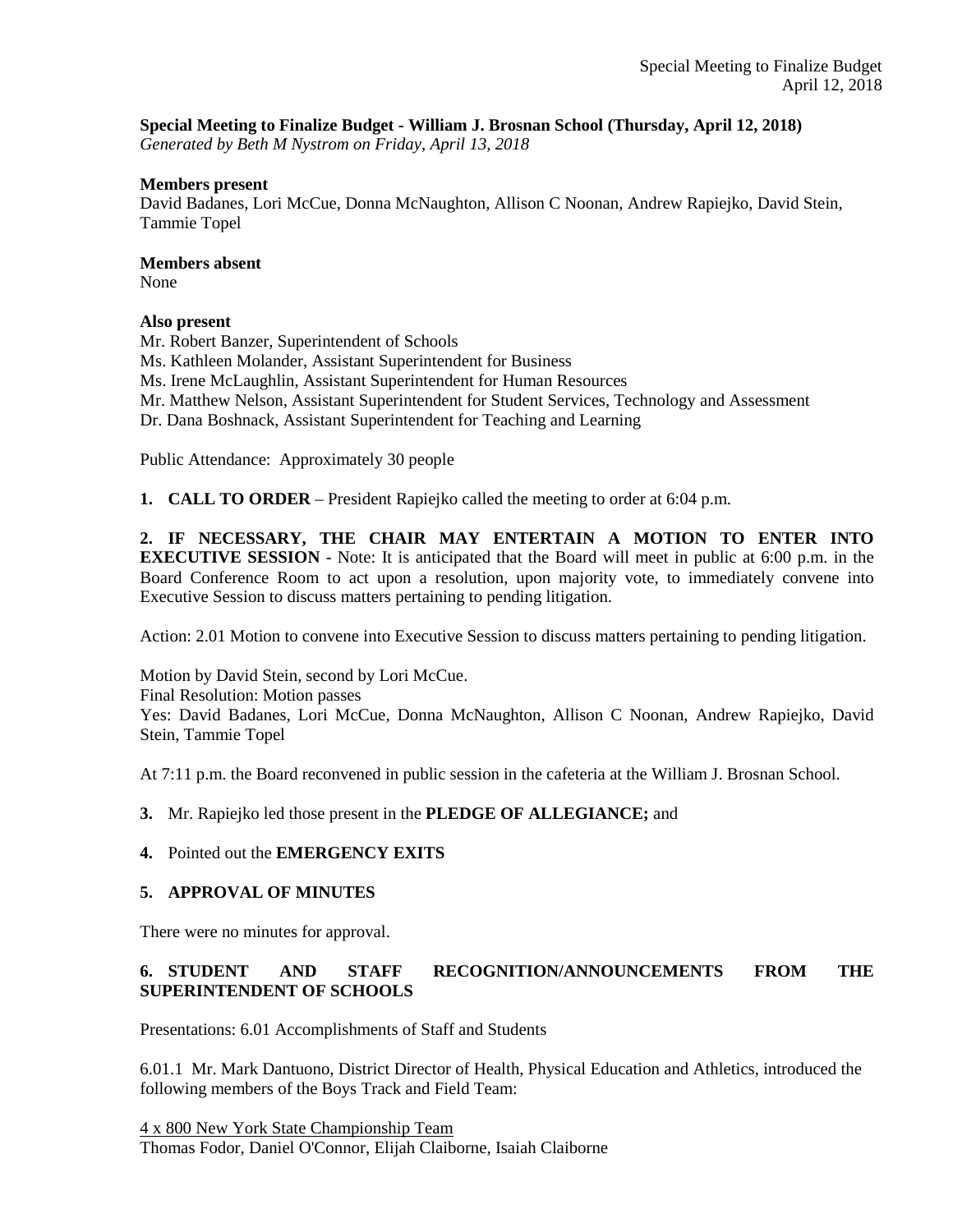## **Special Meeting to Finalize Budget - William J. Brosnan School (Thursday, April 12, 2018)**

*Generated by Beth M Nystrom on Friday, April 13, 2018*

### **Members present**

David Badanes, Lori McCue, Donna McNaughton, Allison C Noonan, Andrew Rapiejko, David Stein, Tammie Topel

#### **Members absent**

None

### **Also present**

Mr. Robert Banzer, Superintendent of Schools

Ms. Kathleen Molander, Assistant Superintendent for Business

Ms. Irene McLaughlin, Assistant Superintendent for Human Resources

Mr. Matthew Nelson, Assistant Superintendent for Student Services, Technology and Assessment

Dr. Dana Boshnack, Assistant Superintendent for Teaching and Learning

Public Attendance: Approximately 30 people

**1. CALL TO ORDER** – President Rapiejko called the meeting to order at 6:04 p.m.

**2. IF NECESSARY, THE CHAIR MAY ENTERTAIN A MOTION TO ENTER INTO EXECUTIVE SESSION** - Note: It is anticipated that the Board will meet in public at 6:00 p.m. in the Board Conference Room to act upon a resolution, upon majority vote, to immediately convene into Executive Session to discuss matters pertaining to pending litigation.

Action: 2.01 Motion to convene into Executive Session to discuss matters pertaining to pending litigation.

Motion by David Stein, second by Lori McCue. Final Resolution: Motion passes Yes: David Badanes, Lori McCue, Donna McNaughton, Allison C Noonan, Andrew Rapiejko, David Stein, Tammie Topel

At 7:11 p.m. the Board reconvened in public session in the cafeteria at the William J. Brosnan School.

**3.** Mr. Rapiejko led those present in the **PLEDGE OF ALLEGIANCE;** and

### **4.** Pointed out the **EMERGENCY EXITS**

### **5. APPROVAL OF MINUTES**

There were no minutes for approval.

# **6. STUDENT AND STAFF RECOGNITION/ANNOUNCEMENTS FROM THE SUPERINTENDENT OF SCHOOLS**

Presentations: 6.01 Accomplishments of Staff and Students

6.01.1 Mr. Mark Dantuono, District Director of Health, Physical Education and Athletics, introduced the following members of the Boys Track and Field Team:

4 x 800 New York State Championship Team Thomas Fodor, Daniel O'Connor, Elijah Claiborne, Isaiah Claiborne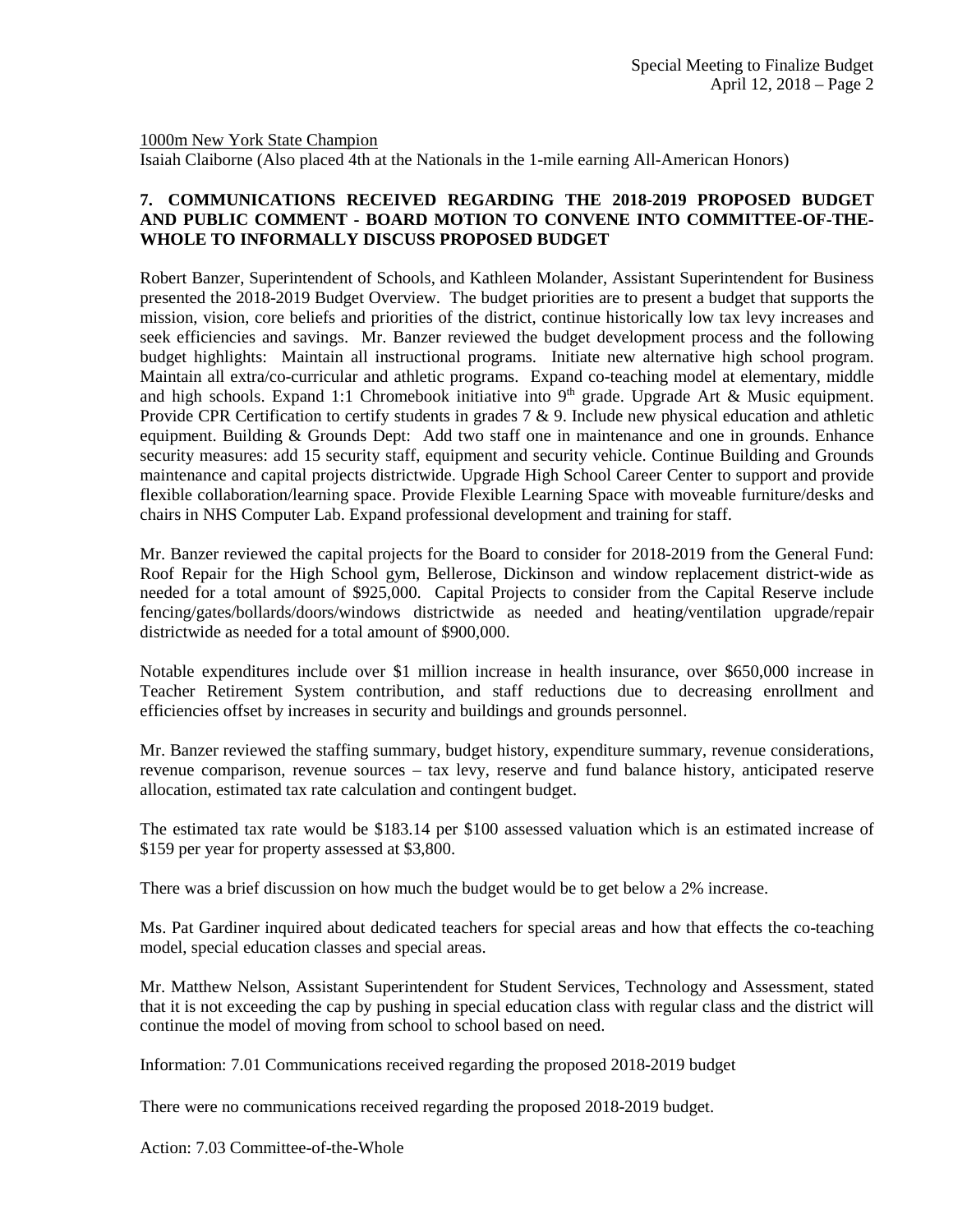1000m New York State Champion

Isaiah Claiborne (Also placed 4th at the Nationals in the 1-mile earning All-American Honors)

## **7. COMMUNICATIONS RECEIVED REGARDING THE 2018-2019 PROPOSED BUDGET AND PUBLIC COMMENT - BOARD MOTION TO CONVENE INTO COMMITTEE-OF-THE-WHOLE TO INFORMALLY DISCUSS PROPOSED BUDGET**

Robert Banzer, Superintendent of Schools, and Kathleen Molander, Assistant Superintendent for Business presented the 2018-2019 Budget Overview. The budget priorities are to present a budget that supports the mission, vision, core beliefs and priorities of the district, continue historically low tax levy increases and seek efficiencies and savings. Mr. Banzer reviewed the budget development process and the following budget highlights: Maintain all instructional programs. Initiate new alternative high school program. Maintain all extra/co-curricular and athletic programs. Expand co-teaching model at elementary, middle and high schools. Expand 1:1 Chromebook initiative into  $9<sup>th</sup>$  grade. Upgrade Art & Music equipment. Provide CPR Certification to certify students in grades  $7 \& 9$ . Include new physical education and athletic equipment. Building & Grounds Dept: Add two staff one in maintenance and one in grounds. Enhance security measures: add 15 security staff, equipment and security vehicle. Continue Building and Grounds maintenance and capital projects districtwide. Upgrade High School Career Center to support and provide flexible collaboration/learning space. Provide Flexible Learning Space with moveable furniture/desks and chairs in NHS Computer Lab. Expand professional development and training for staff.

Mr. Banzer reviewed the capital projects for the Board to consider for 2018-2019 from the General Fund: Roof Repair for the High School gym, Bellerose, Dickinson and window replacement district-wide as needed for a total amount of \$925,000. Capital Projects to consider from the Capital Reserve include fencing/gates/bollards/doors/windows districtwide as needed and heating/ventilation upgrade/repair districtwide as needed for a total amount of \$900,000.

Notable expenditures include over \$1 million increase in health insurance, over \$650,000 increase in Teacher Retirement System contribution, and staff reductions due to decreasing enrollment and efficiencies offset by increases in security and buildings and grounds personnel.

Mr. Banzer reviewed the staffing summary, budget history, expenditure summary, revenue considerations, revenue comparison, revenue sources – tax levy, reserve and fund balance history, anticipated reserve allocation, estimated tax rate calculation and contingent budget.

The estimated tax rate would be \$183.14 per \$100 assessed valuation which is an estimated increase of \$159 per year for property assessed at \$3,800.

There was a brief discussion on how much the budget would be to get below a 2% increase.

Ms. Pat Gardiner inquired about dedicated teachers for special areas and how that effects the co-teaching model, special education classes and special areas.

Mr. Matthew Nelson, Assistant Superintendent for Student Services, Technology and Assessment, stated that it is not exceeding the cap by pushing in special education class with regular class and the district will continue the model of moving from school to school based on need.

Information: 7.01 Communications received regarding the proposed 2018-2019 budget

There were no communications received regarding the proposed 2018-2019 budget.

Action: 7.03 Committee-of-the-Whole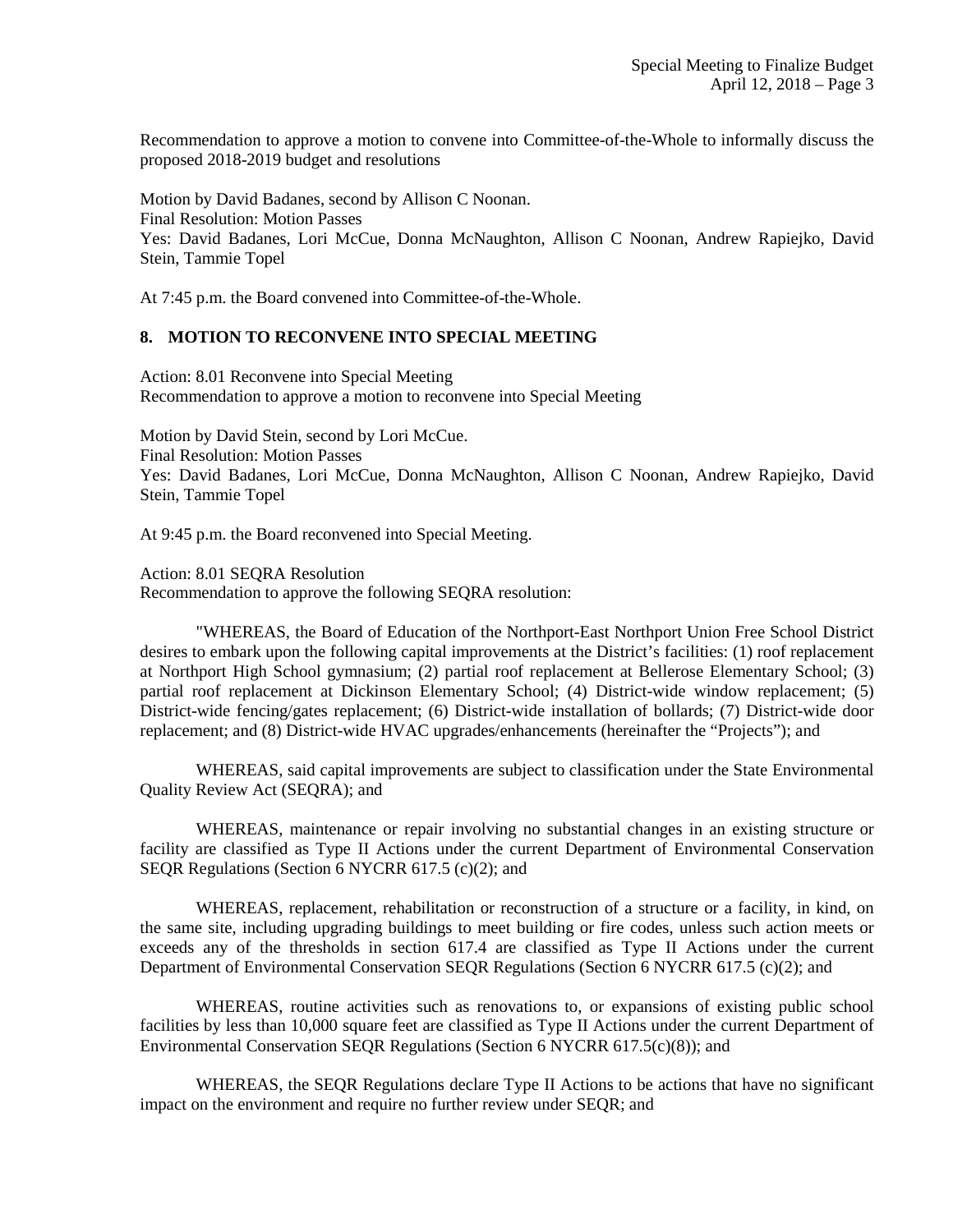Recommendation to approve a motion to convene into Committee-of-the-Whole to informally discuss the proposed 2018-2019 budget and resolutions

Motion by David Badanes, second by Allison C Noonan. Final Resolution: Motion Passes Yes: David Badanes, Lori McCue, Donna McNaughton, Allison C Noonan, Andrew Rapiejko, David Stein, Tammie Topel

At 7:45 p.m. the Board convened into Committee-of-the-Whole.

#### **8. MOTION TO RECONVENE INTO SPECIAL MEETING**

Action: 8.01 Reconvene into Special Meeting Recommendation to approve a motion to reconvene into Special Meeting

Motion by David Stein, second by Lori McCue. Final Resolution: Motion Passes Yes: David Badanes, Lori McCue, Donna McNaughton, Allison C Noonan, Andrew Rapiejko, David Stein, Tammie Topel

At 9:45 p.m. the Board reconvened into Special Meeting.

Action: 8.01 SEQRA Resolution Recommendation to approve the following SEQRA resolution:

"WHEREAS, the Board of Education of the Northport-East Northport Union Free School District desires to embark upon the following capital improvements at the District's facilities: (1) roof replacement at Northport High School gymnasium; (2) partial roof replacement at Bellerose Elementary School; (3) partial roof replacement at Dickinson Elementary School; (4) District-wide window replacement; (5) District-wide fencing/gates replacement; (6) District-wide installation of bollards; (7) District-wide door replacement; and (8) District-wide HVAC upgrades/enhancements (hereinafter the "Projects"); and

WHEREAS, said capital improvements are subject to classification under the State Environmental Quality Review Act (SEQRA); and

WHEREAS, maintenance or repair involving no substantial changes in an existing structure or facility are classified as Type II Actions under the current Department of Environmental Conservation SEQR Regulations (Section 6 NYCRR 617.5 (c)(2); and

WHEREAS, replacement, rehabilitation or reconstruction of a structure or a facility, in kind, on the same site, including upgrading buildings to meet building or fire codes, unless such action meets or exceeds any of the thresholds in section 617.4 are classified as Type II Actions under the current Department of Environmental Conservation SEQR Regulations (Section 6 NYCRR 617.5 (c)(2); and

WHEREAS, routine activities such as renovations to, or expansions of existing public school facilities by less than 10,000 square feet are classified as Type II Actions under the current Department of Environmental Conservation SEQR Regulations (Section 6 NYCRR 617.5(c)(8)); and

WHEREAS, the SEQR Regulations declare Type II Actions to be actions that have no significant impact on the environment and require no further review under SEQR; and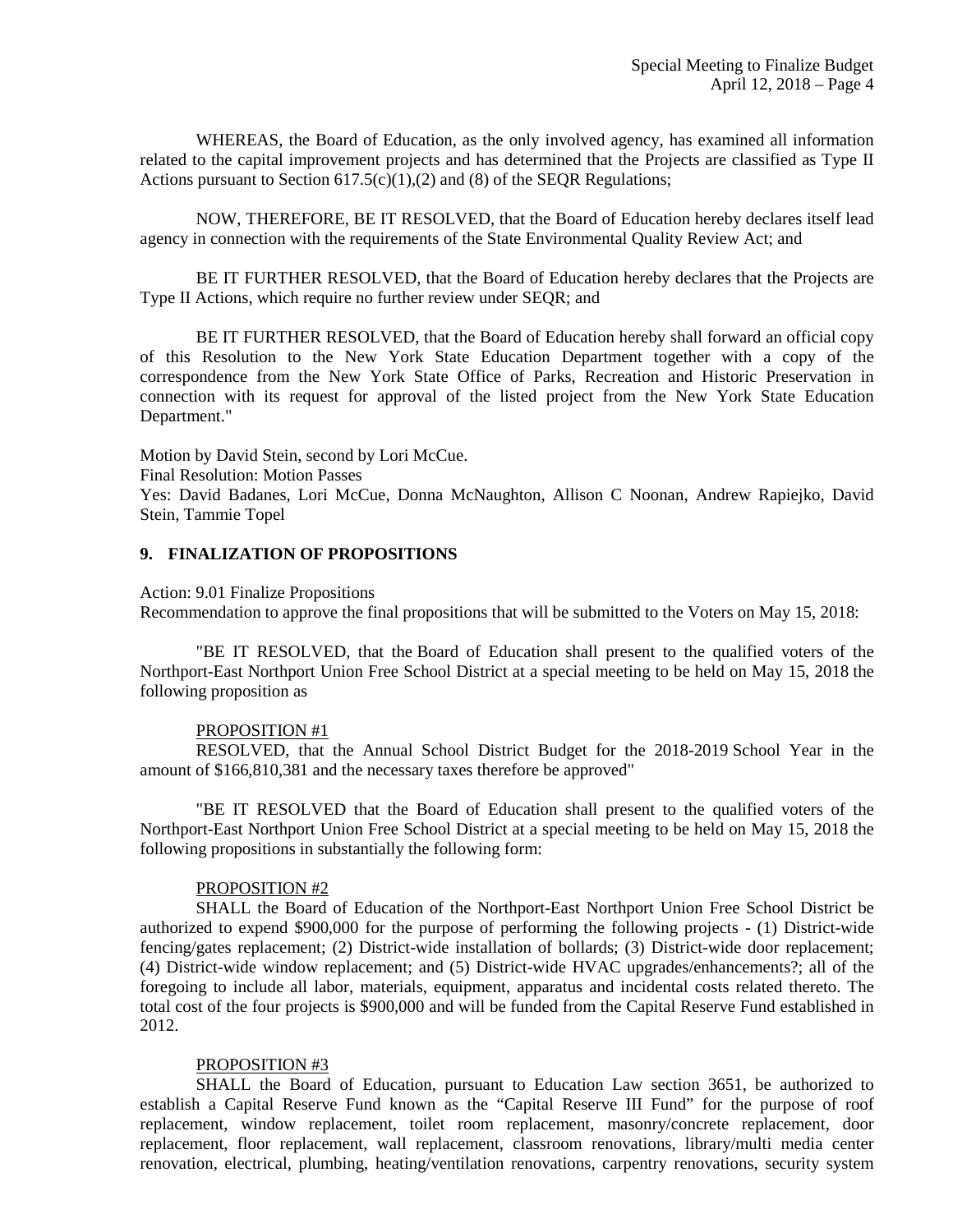WHEREAS, the Board of Education, as the only involved agency, has examined all information related to the capital improvement projects and has determined that the Projects are classified as Type II Actions pursuant to Section  $617.5(c)(1),(2)$  and (8) of the SEQR Regulations;

NOW, THEREFORE, BE IT RESOLVED, that the Board of Education hereby declares itself lead agency in connection with the requirements of the State Environmental Quality Review Act; and

BE IT FURTHER RESOLVED, that the Board of Education hereby declares that the Projects are Type II Actions, which require no further review under SEQR; and

BE IT FURTHER RESOLVED, that the Board of Education hereby shall forward an official copy of this Resolution to the New York State Education Department together with a copy of the correspondence from the New York State Office of Parks, Recreation and Historic Preservation in connection with its request for approval of the listed project from the New York State Education Department."

Motion by David Stein, second by Lori McCue.

Final Resolution: Motion Passes

Yes: David Badanes, Lori McCue, Donna McNaughton, Allison C Noonan, Andrew Rapiejko, David Stein, Tammie Topel

#### **9. FINALIZATION OF PROPOSITIONS**

Action: 9.01 Finalize Propositions

Recommendation to approve the final propositions that will be submitted to the Voters on May 15, 2018:

"BE IT RESOLVED, that the Board of Education shall present to the qualified voters of the Northport-East Northport Union Free School District at a special meeting to be held on May 15, 2018 the following proposition as

#### PROPOSITION #1

RESOLVED, that the Annual School District Budget for the 2018-2019 School Year in the amount of \$166,810,381 and the necessary taxes therefore be approved"

"BE IT RESOLVED that the Board of Education shall present to the qualified voters of the Northport-East Northport Union Free School District at a special meeting to be held on May 15, 2018 the following propositions in substantially the following form:

#### PROPOSITION #2

SHALL the Board of Education of the Northport-East Northport Union Free School District be authorized to expend \$900,000 for the purpose of performing the following projects - (1) District-wide fencing/gates replacement; (2) District-wide installation of bollards; (3) District-wide door replacement; (4) District-wide window replacement; and (5) District-wide HVAC upgrades/enhancements?; all of the foregoing to include all labor, materials, equipment, apparatus and incidental costs related thereto. The total cost of the four projects is \$900,000 and will be funded from the Capital Reserve Fund established in 2012.

#### PROPOSITION #3

SHALL the Board of Education, pursuant to Education Law section 3651, be authorized to establish a Capital Reserve Fund known as the "Capital Reserve III Fund" for the purpose of roof replacement, window replacement, toilet room replacement, masonry/concrete replacement, door replacement, floor replacement, wall replacement, classroom renovations, library/multi media center renovation, electrical, plumbing, heating/ventilation renovations, carpentry renovations, security system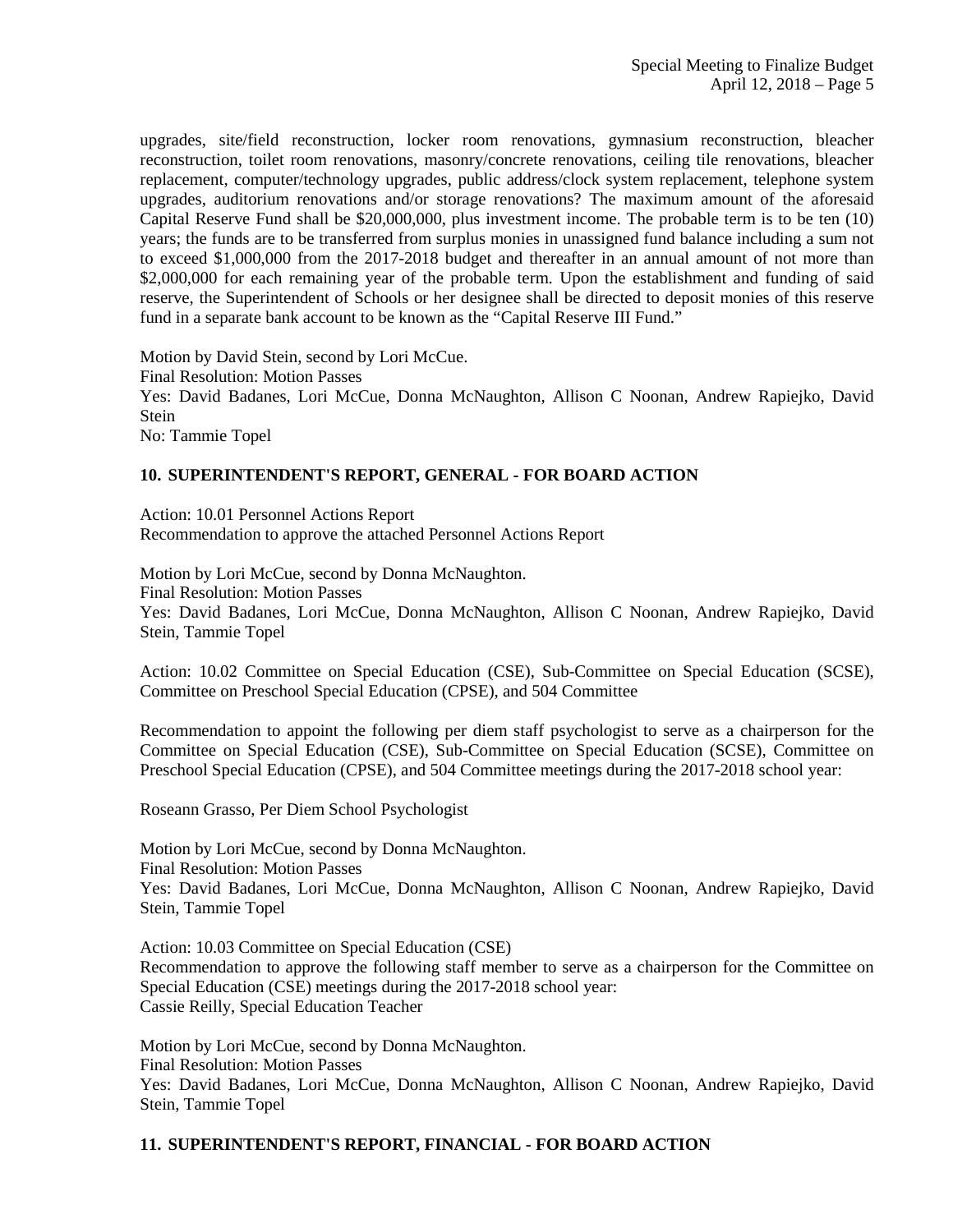upgrades, site/field reconstruction, locker room renovations, gymnasium reconstruction, bleacher reconstruction, toilet room renovations, masonry/concrete renovations, ceiling tile renovations, bleacher replacement, computer/technology upgrades, public address/clock system replacement, telephone system upgrades, auditorium renovations and/or storage renovations? The maximum amount of the aforesaid Capital Reserve Fund shall be \$20,000,000, plus investment income. The probable term is to be ten (10) years; the funds are to be transferred from surplus monies in unassigned fund balance including a sum not to exceed \$1,000,000 from the 2017-2018 budget and thereafter in an annual amount of not more than \$2,000,000 for each remaining year of the probable term. Upon the establishment and funding of said reserve, the Superintendent of Schools or her designee shall be directed to deposit monies of this reserve fund in a separate bank account to be known as the "Capital Reserve III Fund."

Motion by David Stein, second by Lori McCue.

Final Resolution: Motion Passes Yes: David Badanes, Lori McCue, Donna McNaughton, Allison C Noonan, Andrew Rapiejko, David

Stein

No: Tammie Topel

# **10. SUPERINTENDENT'S REPORT, GENERAL - FOR BOARD ACTION**

Action: 10.01 Personnel Actions Report Recommendation to approve the attached Personnel Actions Report

Motion by Lori McCue, second by Donna McNaughton. Final Resolution: Motion Passes Yes: David Badanes, Lori McCue, Donna McNaughton, Allison C Noonan, Andrew Rapiejko, David Stein, Tammie Topel

Action: 10.02 Committee on Special Education (CSE), Sub-Committee on Special Education (SCSE), Committee on Preschool Special Education (CPSE), and 504 Committee

Recommendation to appoint the following per diem staff psychologist to serve as a chairperson for the Committee on Special Education (CSE), Sub-Committee on Special Education (SCSE), Committee on Preschool Special Education (CPSE), and 504 Committee meetings during the 2017-2018 school year:

Roseann Grasso, Per Diem School Psychologist

Motion by Lori McCue, second by Donna McNaughton. Final Resolution: Motion Passes Yes: David Badanes, Lori McCue, Donna McNaughton, Allison C Noonan, Andrew Rapiejko, David Stein, Tammie Topel

Action: 10.03 Committee on Special Education (CSE) Recommendation to approve the following staff member to serve as a chairperson for the Committee on Special Education (CSE) meetings during the 2017-2018 school year: Cassie Reilly, Special Education Teacher

Motion by Lori McCue, second by Donna McNaughton. Final Resolution: Motion Passes Yes: David Badanes, Lori McCue, Donna McNaughton, Allison C Noonan, Andrew Rapiejko, David Stein, Tammie Topel

### **11. SUPERINTENDENT'S REPORT, FINANCIAL - FOR BOARD ACTION**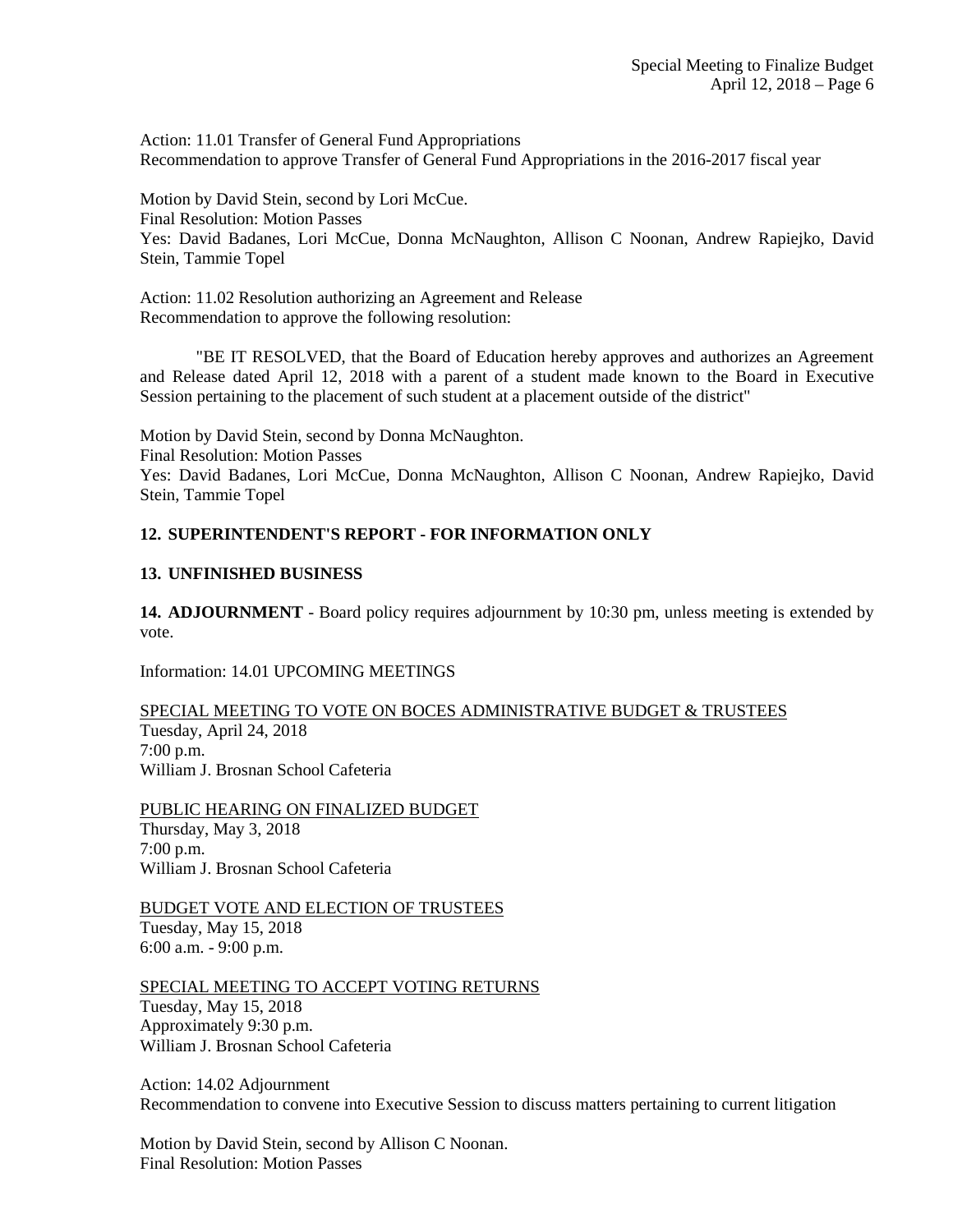Action: 11.01 Transfer of General Fund Appropriations Recommendation to approve Transfer of General Fund Appropriations in the 2016-2017 fiscal year

Motion by David Stein, second by Lori McCue. Final Resolution: Motion Passes Yes: David Badanes, Lori McCue, Donna McNaughton, Allison C Noonan, Andrew Rapiejko, David Stein, Tammie Topel

Action: 11.02 Resolution authorizing an Agreement and Release Recommendation to approve the following resolution:

"BE IT RESOLVED, that the Board of Education hereby approves and authorizes an Agreement and Release dated April 12, 2018 with a parent of a student made known to the Board in Executive Session pertaining to the placement of such student at a placement outside of the district"

Motion by David Stein, second by Donna McNaughton. Final Resolution: Motion Passes Yes: David Badanes, Lori McCue, Donna McNaughton, Allison C Noonan, Andrew Rapiejko, David Stein, Tammie Topel

# **12. SUPERINTENDENT'S REPORT - FOR INFORMATION ONLY**

## **13. UNFINISHED BUSINESS**

**14. ADJOURNMENT** - Board policy requires adjournment by 10:30 pm, unless meeting is extended by vote.

Information: 14.01 UPCOMING MEETINGS

SPECIAL MEETING TO VOTE ON BOCES ADMINISTRATIVE BUDGET & TRUSTEES Tuesday, April 24, 2018 7:00 p.m. William J. Brosnan School Cafeteria

PUBLIC HEARING ON FINALIZED BUDGET Thursday, May 3, 2018 7:00 p.m. William J. Brosnan School Cafeteria

BUDGET VOTE AND ELECTION OF TRUSTEES Tuesday, May 15, 2018 6:00 a.m. - 9:00 p.m.

SPECIAL MEETING TO ACCEPT VOTING RETURNS Tuesday, May 15, 2018 Approximately 9:30 p.m. William J. Brosnan School Cafeteria

Action: 14.02 Adjournment Recommendation to convene into Executive Session to discuss matters pertaining to current litigation

Motion by David Stein, second by Allison C Noonan. Final Resolution: Motion Passes